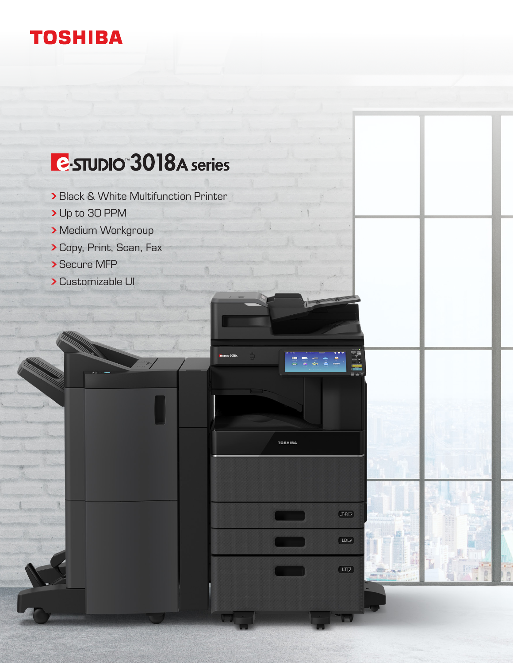### **TOSHIBA**

# **E** STUDIO 3018A series

**> Black & White Multifunction Printer** 

 $LT-RD$ 

 $(10D)$ 

 $(TU)$ 

 $\frac{m}{m}$ 

**TOSHIBA** 

- Up to 30 PPM
- **> Medium Workgroup**
- Copy, Print, Scan, Fax
- Secure MFP
- Customizable UI